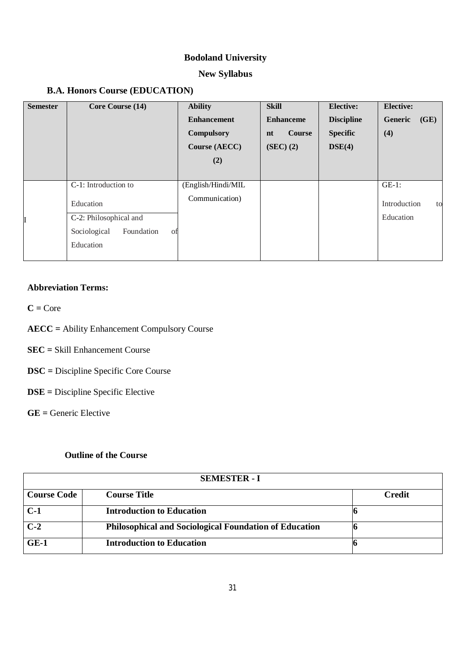# **Bodoland University**

# **New Syllabus**

## **B.A. Honors Course (EDUCATION)**

| <b>Semester</b> | Core Course (14)                                                                                             | <b>Ability</b><br><b>Enhancement</b><br><b>Compulsory</b><br><b>Course (AECC)</b><br>(2) | <b>Skill</b><br><b>Enhanceme</b><br><b>Course</b><br>nt<br>(SEC) (2) | <b>Elective:</b><br><b>Discipline</b><br><b>Specific</b><br>DSE(4) | <b>Elective:</b><br>Generic<br>(GE)<br>(4)  |
|-----------------|--------------------------------------------------------------------------------------------------------------|------------------------------------------------------------------------------------------|----------------------------------------------------------------------|--------------------------------------------------------------------|---------------------------------------------|
| I               | C-1: Introduction to<br>Education<br>C-2: Philosophical and<br>Sociological<br>Foundation<br>of<br>Education | (English/Hindi/MIL<br>Communication)                                                     |                                                                      |                                                                    | $GE-1$ :<br>Introduction<br>to<br>Education |

## **Abbreviation Terms:**

 $C = Core$ 

- **AECC =** Ability Enhancement Compulsory Course
- **SEC =** Skill Enhancement Course
- **DSC =** Discipline Specific Core Course
- **DSE =** Discipline Specific Elective

**GE =** Generic Elective

## **Outline of the Course**

| <b>SEMESTER - I</b> |                                                               |        |  |  |  |
|---------------------|---------------------------------------------------------------|--------|--|--|--|
| <b>Course Code</b>  | <b>Course Title</b>                                           | Credit |  |  |  |
| $C-1$               | <b>Introduction to Education</b>                              |        |  |  |  |
| $C-2$               | <b>Philosophical and Sociological Foundation of Education</b> |        |  |  |  |
| $GE-1$              | <b>Introduction to Education</b>                              |        |  |  |  |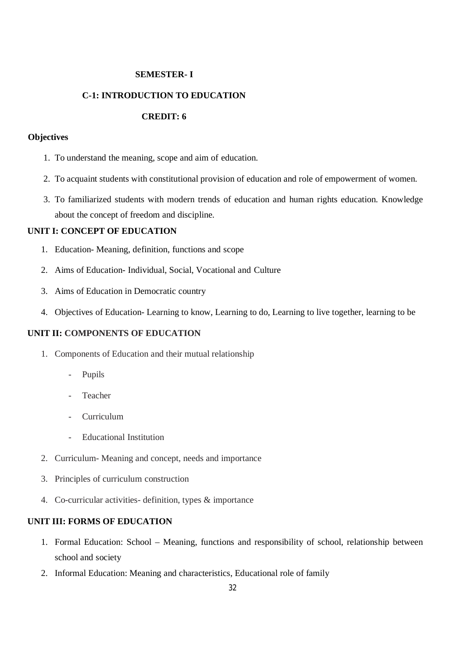## **SEMESTER- I**

## **C-1: INTRODUCTION TO EDUCATION**

## **CREDIT: 6**

#### **Objectives**

- 1. To understand the meaning, scope and aim of education.
- 2. To acquaint students with constitutional provision of education and role of empowerment of women.
- 3. To familiarized students with modern trends of education and human rights education. Knowledge about the concept of freedom and discipline.

## **UNIT I: CONCEPT OF EDUCATION**

- 1. Education- Meaning, definition, functions and scope
- 2. Aims of Education- Individual, Social, Vocational and Culture
- 3. Aims of Education in Democratic country
- 4. Objectives of Education- Learning to know, Learning to do, Learning to live together, learning to be

## **UNIT II: COMPONENTS OF EDUCATION**

- 1. Components of Education and their mutual relationship
	- Pupils
	- **Teacher**
	- Curriculum
	- Educational Institution
- 2. Curriculum- Meaning and concept, needs and importance
- 3. Principles of curriculum construction
- 4. Co-curricular activities- definition, types & importance

## **UNIT III: FORMS OF EDUCATION**

- 1. Formal Education: School Meaning, functions and responsibility of school, relationship between school and society
- 2. Informal Education: Meaning and characteristics, Educational role of family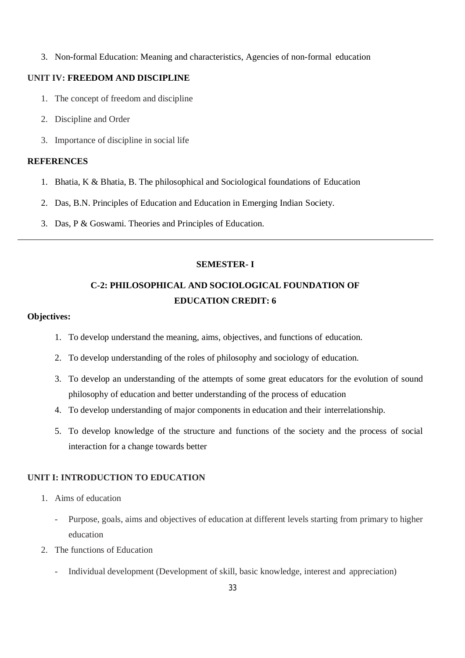3. Non-formal Education: Meaning and characteristics, Agencies of non-formal education

## **UNIT IV: FREEDOM AND DISCIPLINE**

- 1. The concept of freedom and discipline
- 2. Discipline and Order
- 3. Importance of discipline in social life

## **REFERENCES**

- 1. Bhatia, K & Bhatia, B. The philosophical and Sociological foundations of Education
- 2. Das, B.N. Principles of Education and Education in Emerging Indian Society.
- 3. Das, P & Goswami. Theories and Principles of Education.

## **SEMESTER- I**

# **C-2: PHILOSOPHICAL AND SOCIOLOGICAL FOUNDATION OF EDUCATION CREDIT: 6**

#### **Objectives:**

- 1. To develop understand the meaning, aims, objectives, and functions of education.
- 2. To develop understanding of the roles of philosophy and sociology of education.
- 3. To develop an understanding of the attempts of some great educators for the evolution of sound philosophy of education and better understanding of the process of education
- 4. To develop understanding of major components in education and their interrelationship.
- 5. To develop knowledge of the structure and functions of the society and the process of social interaction for a change towards better

## **UNIT I: INTRODUCTION TO EDUCATION**

- 1. Aims of education
	- Purpose, goals, aims and objectives of education at different levels starting from primary to higher education
- 2. The functions of Education
	- Individual development (Development of skill, basic knowledge, interest and appreciation)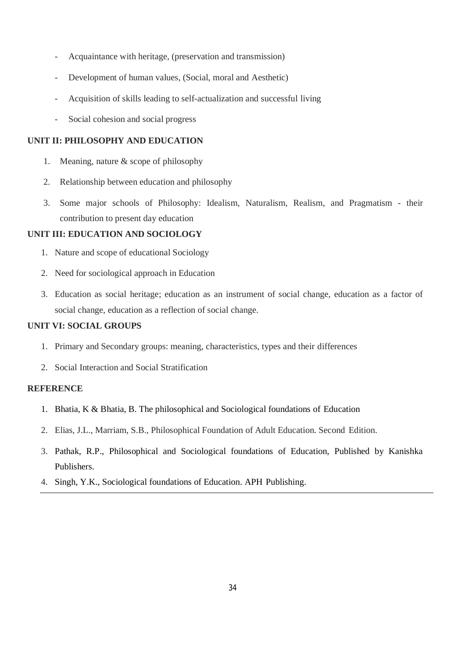- Acquaintance with heritage, (preservation and transmission)
- Development of human values, (Social, moral and Aesthetic)
- Acquisition of skills leading to self-actualization and successful living
- Social cohesion and social progress

#### **UNIT II: PHILOSOPHY AND EDUCATION**

- 1. Meaning, nature & scope of philosophy
- 2. Relationship between education and philosophy
- 3. Some major schools of Philosophy: Idealism, Naturalism, Realism, and Pragmatism their contribution to present day education

## **UNIT III: EDUCATION AND SOCIOLOGY**

- 1. Nature and scope of educational Sociology
- 2. Need for sociological approach in Education
- 3. Education as social heritage; education as an instrument of social change, education as a factor of social change, education as a reflection of social change.

## **UNIT VI: SOCIAL GROUPS**

- 1. Primary and Secondary groups: meaning, characteristics, types and their differences
- 2. Social Interaction and Social Stratification

#### **REFERENCE**

- 1. Bhatia, K & Bhatia, B. The philosophical and Sociological foundations of Education
- 2. Elias, J.L., Marriam, S.B., Philosophical Foundation of Adult Education. Second Edition.
- 3. Pathak, R.P., Philosophical and Sociological foundations of Education, Published by Kanishka Publishers.
- 4. Singh, Y.K., Sociological foundations of Education. APH Publishing.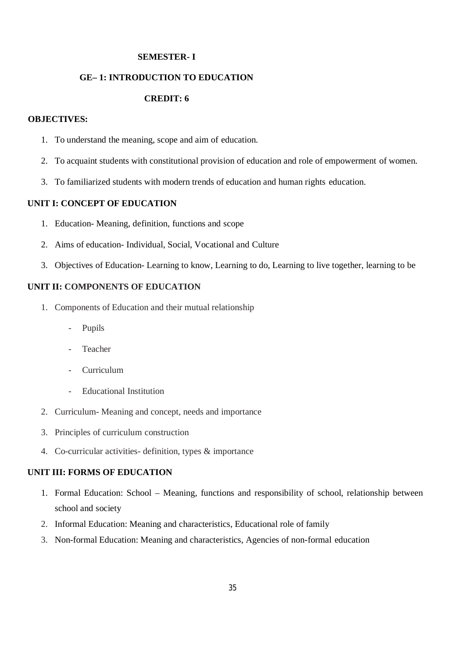## **SEMESTER- I**

## **GE– 1: INTRODUCTION TO EDUCATION**

## **CREDIT: 6**

## **OBJECTIVES:**

- 1. To understand the meaning, scope and aim of education.
- 2. To acquaint students with constitutional provision of education and role of empowerment of women.
- 3. To familiarized students with modern trends of education and human rights education.

## **UNIT I: CONCEPT OF EDUCATION**

- 1. Education- Meaning, definition, functions and scope
- 2. Aims of education- Individual, Social, Vocational and Culture
- 3. Objectives of Education- Learning to know, Learning to do, Learning to live together, learning to be

## **UNIT II: COMPONENTS OF EDUCATION**

- 1. Components of Education and their mutual relationship
	- **Pupils**
	- **Teacher**
	- Curriculum
	- Educational Institution
- 2. Curriculum- Meaning and concept, needs and importance
- 3. Principles of curriculum construction
- 4. Co-curricular activities- definition, types & importance

#### **UNIT III: FORMS OF EDUCATION**

- 1. Formal Education: School Meaning, functions and responsibility of school, relationship between school and society
- 2. Informal Education: Meaning and characteristics, Educational role of family
- 3. Non-formal Education: Meaning and characteristics, Agencies of non-formal education